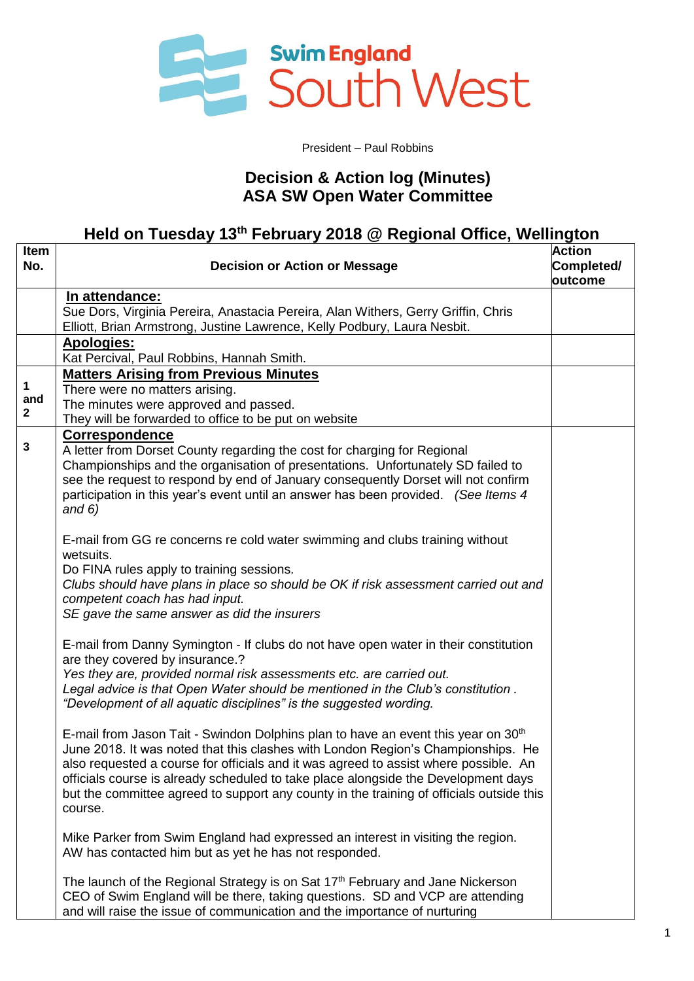

### President – Paul Robbins

## **Decision & Action log (Minutes) ASA SW Open Water Committee**

# **Held on Tuesday 13th February 2018 @ Regional Office, Wellington**

| Item<br>No.                          | <b>Decision or Action or Message</b>                                                                                                                                                                                                                                                                                                                                                                                                                                   | <b>Action</b><br>Completed/<br>outcome |
|--------------------------------------|------------------------------------------------------------------------------------------------------------------------------------------------------------------------------------------------------------------------------------------------------------------------------------------------------------------------------------------------------------------------------------------------------------------------------------------------------------------------|----------------------------------------|
|                                      | <u>In attendance:</u><br>Sue Dors, Virginia Pereira, Anastacia Pereira, Alan Withers, Gerry Griffin, Chris                                                                                                                                                                                                                                                                                                                                                             |                                        |
|                                      | Elliott, Brian Armstrong, Justine Lawrence, Kelly Podbury, Laura Nesbit.<br><b>Apologies:</b><br>Kat Percival, Paul Robbins, Hannah Smith.                                                                                                                                                                                                                                                                                                                             |                                        |
| $\mathbf 1$<br>and<br>$\overline{2}$ | <b>Matters Arising from Previous Minutes</b><br>There were no matters arising.<br>The minutes were approved and passed.<br>They will be forwarded to office to be put on website                                                                                                                                                                                                                                                                                       |                                        |
| $\mathbf 3$                          | Correspondence<br>A letter from Dorset County regarding the cost for charging for Regional<br>Championships and the organisation of presentations. Unfortunately SD failed to<br>see the request to respond by end of January consequently Dorset will not confirm<br>participation in this year's event until an answer has been provided. (See Items 4<br>and $6)$                                                                                                   |                                        |
|                                      | E-mail from GG re concerns re cold water swimming and clubs training without<br>wetsuits.<br>Do FINA rules apply to training sessions.<br>Clubs should have plans in place so should be OK if risk assessment carried out and<br>competent coach has had input.<br>SE gave the same answer as did the insurers                                                                                                                                                         |                                        |
|                                      | E-mail from Danny Symington - If clubs do not have open water in their constitution<br>are they covered by insurance.?<br>Yes they are, provided normal risk assessments etc. are carried out.<br>Legal advice is that Open Water should be mentioned in the Club's constitution.<br>"Development of all aquatic disciplines" is the suggested wording.                                                                                                                |                                        |
|                                      | E-mail from Jason Tait - Swindon Dolphins plan to have an event this year on 30 <sup>th</sup><br>June 2018. It was noted that this clashes with London Region's Championships. He<br>also requested a course for officials and it was agreed to assist where possible. An<br>officials course is already scheduled to take place alongside the Development days<br>but the committee agreed to support any county in the training of officials outside this<br>course. |                                        |
|                                      | Mike Parker from Swim England had expressed an interest in visiting the region.<br>AW has contacted him but as yet he has not responded.                                                                                                                                                                                                                                                                                                                               |                                        |
|                                      | The launch of the Regional Strategy is on Sat 17 <sup>th</sup> February and Jane Nickerson<br>CEO of Swim England will be there, taking questions. SD and VCP are attending<br>and will raise the issue of communication and the importance of nurturing                                                                                                                                                                                                               |                                        |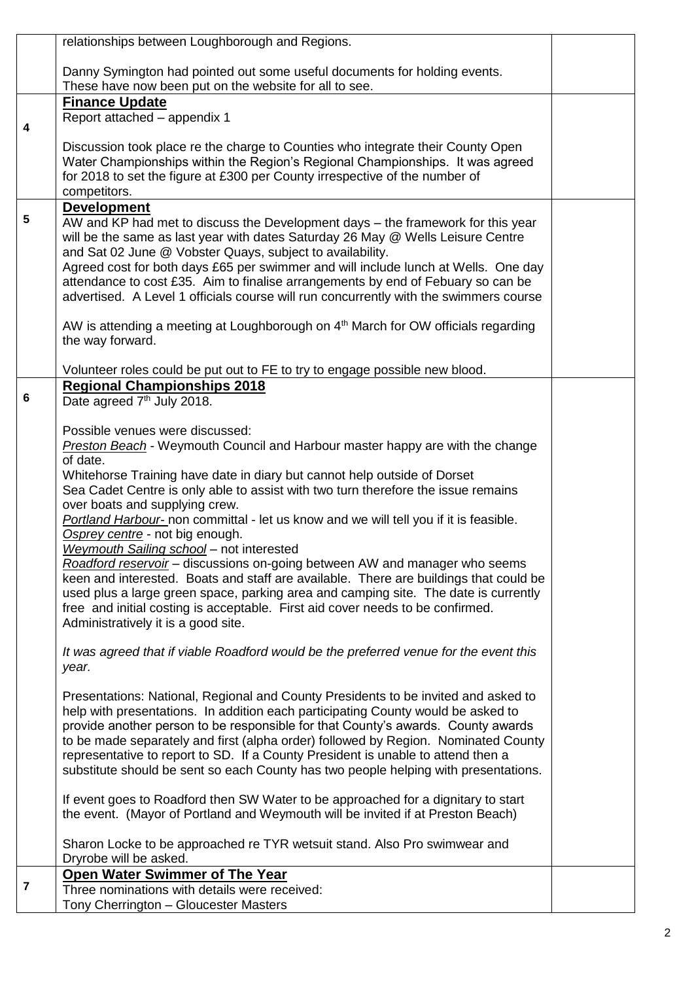|                         | relationships between Loughborough and Regions.                                                                                                                           |  |
|-------------------------|---------------------------------------------------------------------------------------------------------------------------------------------------------------------------|--|
|                         | Danny Symington had pointed out some useful documents for holding events.                                                                                                 |  |
|                         | These have now been put on the website for all to see.                                                                                                                    |  |
|                         | <b>Finance Update</b>                                                                                                                                                     |  |
| 4                       | Report attached - appendix 1                                                                                                                                              |  |
|                         | Discussion took place re the charge to Counties who integrate their County Open                                                                                           |  |
|                         | Water Championships within the Region's Regional Championships. It was agreed                                                                                             |  |
|                         | for 2018 to set the figure at £300 per County irrespective of the number of                                                                                               |  |
|                         | competitors.                                                                                                                                                              |  |
| 5                       | <b>Development</b><br>AW and KP had met to discuss the Development days - the framework for this year                                                                     |  |
|                         | will be the same as last year with dates Saturday 26 May @ Wells Leisure Centre                                                                                           |  |
|                         | and Sat 02 June @ Vobster Quays, subject to availability.                                                                                                                 |  |
|                         | Agreed cost for both days £65 per swimmer and will include lunch at Wells. One day                                                                                        |  |
|                         | attendance to cost £35. Aim to finalise arrangements by end of Febuary so can be<br>advertised. A Level 1 officials course will run concurrently with the swimmers course |  |
|                         |                                                                                                                                                                           |  |
|                         | AW is attending a meeting at Loughborough on 4 <sup>th</sup> March for OW officials regarding                                                                             |  |
|                         | the way forward.                                                                                                                                                          |  |
|                         | Volunteer roles could be put out to FE to try to engage possible new blood.                                                                                               |  |
|                         | <b>Regional Championships 2018</b>                                                                                                                                        |  |
| 6                       | Date agreed 7 <sup>th</sup> July 2018.                                                                                                                                    |  |
|                         |                                                                                                                                                                           |  |
|                         | Possible venues were discussed:<br><b>Preston Beach</b> - Weymouth Council and Harbour master happy are with the change                                                   |  |
|                         | of date.                                                                                                                                                                  |  |
|                         | Whitehorse Training have date in diary but cannot help outside of Dorset                                                                                                  |  |
|                         | Sea Cadet Centre is only able to assist with two turn therefore the issue remains                                                                                         |  |
|                         | over boats and supplying crew.<br>Portland Harbour- non committal - let us know and we will tell you if it is feasible.                                                   |  |
|                         | Osprey centre - not big enough.                                                                                                                                           |  |
|                         | Weymouth Sailing school - not interested                                                                                                                                  |  |
|                         | Roadford reservoir - discussions on-going between AW and manager who seems<br>keen and interested. Boats and staff are available. There are buildings that could be       |  |
|                         | used plus a large green space, parking area and camping site. The date is currently                                                                                       |  |
|                         | free and initial costing is acceptable. First aid cover needs to be confirmed.                                                                                            |  |
|                         | Administratively it is a good site.                                                                                                                                       |  |
|                         | It was agreed that if viable Roadford would be the preferred venue for the event this                                                                                     |  |
|                         | year.                                                                                                                                                                     |  |
|                         |                                                                                                                                                                           |  |
|                         | Presentations: National, Regional and County Presidents to be invited and asked to                                                                                        |  |
|                         | help with presentations. In addition each participating County would be asked to<br>provide another person to be responsible for that County's awards. County awards      |  |
|                         | to be made separately and first (alpha order) followed by Region. Nominated County                                                                                        |  |
|                         | representative to report to SD. If a County President is unable to attend then a                                                                                          |  |
|                         | substitute should be sent so each County has two people helping with presentations.                                                                                       |  |
|                         | If event goes to Roadford then SW Water to be approached for a dignitary to start                                                                                         |  |
|                         | the event. (Mayor of Portland and Weymouth will be invited if at Preston Beach)                                                                                           |  |
|                         |                                                                                                                                                                           |  |
|                         | Sharon Locke to be approached re TYR wetsuit stand. Also Pro swimwear and<br>Dryrobe will be asked.                                                                       |  |
|                         | <b>Open Water Swimmer of The Year</b>                                                                                                                                     |  |
| $\overline{\mathbf{7}}$ | Three nominations with details were received:                                                                                                                             |  |
|                         | Tony Cherrington - Gloucester Masters                                                                                                                                     |  |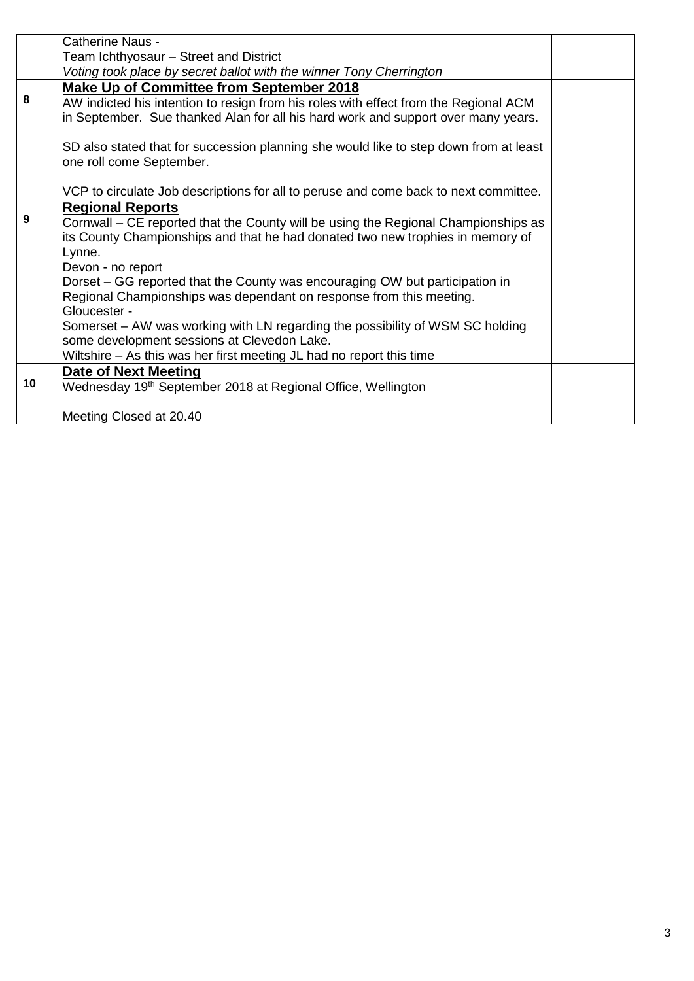|    | Catherine Naus -                                                                      |  |
|----|---------------------------------------------------------------------------------------|--|
|    | Team Ichthyosaur - Street and District                                                |  |
|    | Voting took place by secret ballot with the winner Tony Cherrington                   |  |
|    | <b>Make Up of Committee from September 2018</b>                                       |  |
| 8  | AW indicted his intention to resign from his roles with effect from the Regional ACM  |  |
|    | in September. Sue thanked Alan for all his hard work and support over many years.     |  |
|    |                                                                                       |  |
|    | SD also stated that for succession planning she would like to step down from at least |  |
|    | one roll come September.                                                              |  |
|    |                                                                                       |  |
|    | VCP to circulate Job descriptions for all to peruse and come back to next committee.  |  |
|    | <b>Regional Reports</b>                                                               |  |
| 9  | Cornwall - CE reported that the County will be using the Regional Championships as    |  |
|    | its County Championships and that he had donated two new trophies in memory of        |  |
|    | Lynne.                                                                                |  |
|    | Devon - no report                                                                     |  |
|    | Dorset – GG reported that the County was encouraging OW but participation in          |  |
|    | Regional Championships was dependant on response from this meeting.<br>Gloucester -   |  |
|    | Somerset – AW was working with LN regarding the possibility of WSM SC holding         |  |
|    | some development sessions at Clevedon Lake.                                           |  |
|    | Wiltshire - As this was her first meeting JL had no report this time                  |  |
|    | Date of Next Meeting                                                                  |  |
| 10 | Wednesday 19 <sup>th</sup> September 2018 at Regional Office, Wellington              |  |
|    |                                                                                       |  |
|    | Meeting Closed at 20.40                                                               |  |
|    |                                                                                       |  |